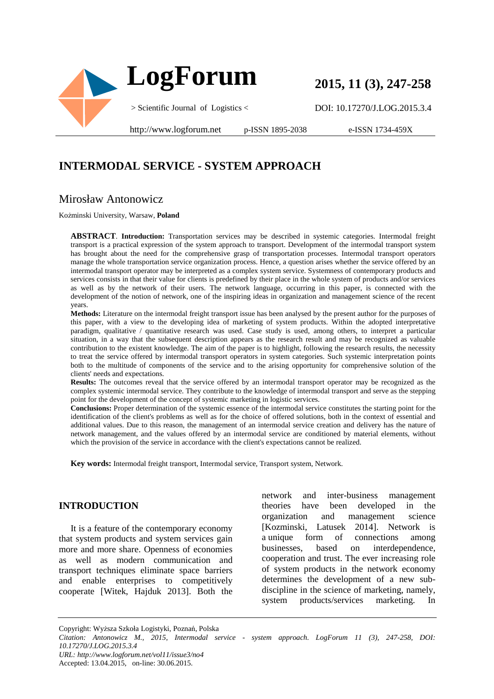

# **2015, 11 (3), 247-258**

DOI: 10.17270/J.LOG.2015.3.4

http://www.logforum.net p-ISSN 1895-2038

e-ISSN 1734-459X

### **INTERMODAL SERVICE - SYSTEM APPROACH**

#### Mirosław Antonowicz

Kożminski University, Warsaw, **Poland** 

**ABSTRACT**. **Introduction:** Transportation services may be described in systemic categories. Intermodal freight transport is a practical expression of the system approach to transport. Development of the intermodal transport system has brought about the need for the comprehensive grasp of transportation processes. Intermodal transport operators manage the whole transportation service organization process. Hence, a question arises whether the service offered by an intermodal transport operator may be interpreted as a complex system service. Systemness of contemporary products and services consists in that their value for clients is predefined by their place in the whole system of products and/or services as well as by the network of their users. The network language, occurring in this paper, is connected with the development of the notion of network, one of the inspiring ideas in organization and management science of the recent years.

**Methods:** Literature on the intermodal freight transport issue has been analysed by the present author for the purposes of this paper, with a view to the developing idea of marketing of system products. Within the adopted interpretative paradigm, qualitative / quantitative research was used. Case study is used, among others, to interpret a particular situation, in a way that the subsequent description appears as the research result and may be recognized as valuable contribution to the existent knowledge. The aim of the paper is to highlight, following the research results, the necessity to treat the service offered by intermodal transport operators in system categories. Such systemic interpretation points both to the multitude of components of the service and to the arising opportunity for comprehensive solution of the clients' needs and expectations.

**Results:** The outcomes reveal that the service offered by an intermodal transport operator may be recognized as the complex systemic intermodal service. They contribute to the knowledge of intermodal transport and serve as the stepping point for the development of the concept of systemic marketing in logistic services.

**Conclusions:** Proper determination of the systemic essence of the intermodal service constitutes the starting point for the identification of the client's problems as well as for the choice of offered solutions, both in the context of essential and additional values. Due to this reason, the management of an intermodal service creation and delivery has the nature of network management, and the values offered by an intermodal service are conditioned by material elements, without which the provision of the service in accordance with the client's expectations cannot be realized.

**Key words:** Intermodal freight transport, Intermodal service, Transport system, Network.

#### **INTRODUCTION**

It is a feature of the contemporary economy that system products and system services gain more and more share. Openness of economies as well as modern communication and transport techniques eliminate space barriers and enable enterprises to competitively cooperate [Witek, Hajduk 2013]. Both the network and inter-business management theories have been developed in the organization and management science [Kozminski, Latusek 2014]. Network is a unique form of connections among businesses, based on interdependence, cooperation and trust. The ever increasing role of system products in the network economy determines the development of a new subdiscipline in the science of marketing, namely, system products/services marketing. In

Copyright: Wyższa Szkoła Logistyki, Poznań, Polska

*URL: http://www.logforum.net/vol11/issue3/no4*

Accepted: 13.04.2015, on-line: 30.06.2015.

*Citation: Antonowicz M., 2015, Intermodal service - system approach. LogForum 11 (3), 247-258, DOI: 10.17270/J.LOG.2015.3.4*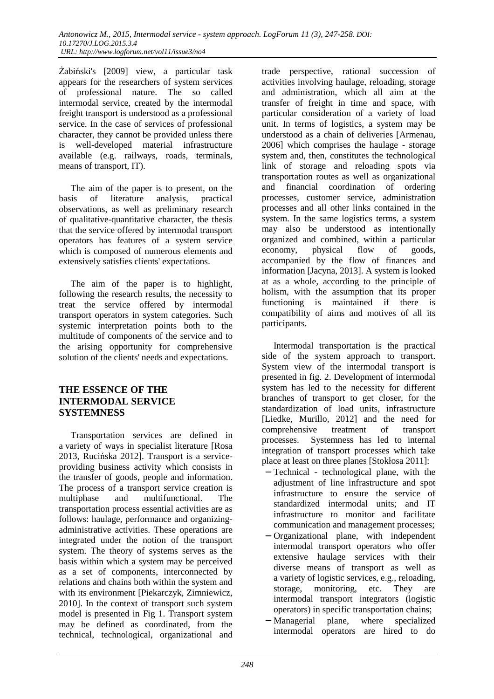Żabiński's [2009] view, a particular task appears for the researchers of system services of professional nature. The so called intermodal service, created by the intermodal freight transport is understood as a professional service. In the case of services of professional character, they cannot be provided unless there is well-developed material infrastructure available (e.g. railways, roads, terminals, means of transport, IT).

The aim of the paper is to present, on the basis of literature analysis, practical observations, as well as preliminary research of qualitative-quantitative character, the thesis that the service offered by intermodal transport operators has features of a system service which is composed of numerous elements and extensively satisfies clients' expectations.

The aim of the paper is to highlight, following the research results, the necessity to treat the service offered by intermodal transport operators in system categories. Such systemic interpretation points both to the multitude of components of the service and to the arising opportunity for comprehensive solution of the clients' needs and expectations.

#### **THE ESSENCE OF THE INTERMODAL SERVICE SYSTEMNESS**

Transportation services are defined in a variety of ways in specialist literature [Rosa 2013, Rucińska 2012]. Transport is a serviceproviding business activity which consists in the transfer of goods, people and information. The process of a transport service creation is multiphase and multifunctional. The transportation process essential activities are as follows: haulage, performance and organizingadministrative activities. These operations are integrated under the notion of the transport system. The theory of systems serves as the basis within which a system may be perceived as a set of components, interconnected by relations and chains both within the system and with its environment [Piekarczyk, Zimniewicz, 2010]. In the context of transport such system model is presented in Fig 1. Transport system may be defined as coordinated, from the technical, technological, organizational and

trade perspective, rational succession of activities involving haulage, reloading, storage and administration, which all aim at the transfer of freight in time and space, with particular consideration of a variety of load unit. In terms of logistics, a system may be understood as a chain of deliveries [Armenau, 2006] which comprises the haulage - storage system and, then, constitutes the technological link of storage and reloading spots via transportation routes as well as organizational and financial coordination of ordering processes, customer service, administration processes and all other links contained in the system. In the same logistics terms, a system may also be understood as intentionally organized and combined, within a particular economy, physical flow of goods, accompanied by the flow of finances and information [Jacyna, 2013]. A system is looked at as a whole, according to the principle of holism, with the assumption that its proper functioning is maintained if there is compatibility of aims and motives of all its participants.

Intermodal transportation is the practical side of the system approach to transport. System view of the intermodal transport is presented in fig. 2. Development of intermodal system has led to the necessity for different branches of transport to get closer, for the standardization of load units, infrastructure [Liedke, Murillo, 2012] and the need for comprehensive treatment of transport processes. Systemness has led to internal integration of transport processes which take place at least on three planes [Stokłosa 2011]:

- − Technical technological plane, with the adjustment of line infrastructure and spot infrastructure to ensure the service of standardized intermodal units; and IT infrastructure to monitor and facilitate communication and management processes;
- − Organizational plane, with independent intermodal transport operators who offer extensive haulage services with their diverse means of transport as well as a variety of logistic services, e.g., reloading, storage, monitoring, etc. They are intermodal transport integrators (logistic operators) in specific transportation chains;
- − Managerial plane, where specialized intermodal operators are hired to do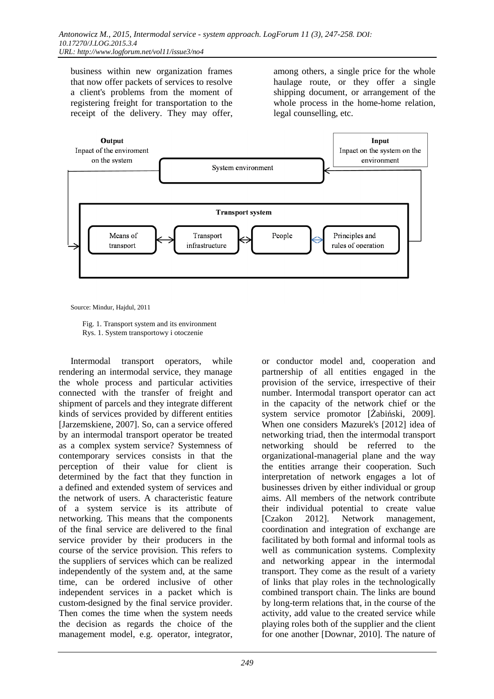business within new organization frames that now offer packets of services to resolve a client's problems from the moment of registering freight for transportation to the receipt of the delivery. They may offer,

among others, a single price for the whole haulage route, or they offer a single shipping document, or arrangement of the whole process in the home-home relation, legal counselling, etc.



Source: Mindur, Hajdul, 2011

 Fig. 1. Transport system and its environment Rys. 1. System transportowy i otoczenie

Intermodal transport operators, while rendering an intermodal service, they manage the whole process and particular activities connected with the transfer of freight and shipment of parcels and they integrate different kinds of services provided by different entities [Jarzemskiene, 2007]. So, can a service offered by an intermodal transport operator be treated as a complex system service? Systemness of contemporary services consists in that the perception of their value for client is determined by the fact that they function in a defined and extended system of services and the network of users. A characteristic feature of a system service is its attribute of networking. This means that the components of the final service are delivered to the final service provider by their producers in the course of the service provision. This refers to the suppliers of services which can be realized independently of the system and, at the same time, can be ordered inclusive of other independent services in a packet which is custom-designed by the final service provider. Then comes the time when the system needs the decision as regards the choice of the management model, e.g. operator, integrator,

or conductor model and, cooperation and partnership of all entities engaged in the provision of the service, irrespective of their number. Intermodal transport operator can act in the capacity of the network chief or the system service promotor [Żabiński, 2009]. When one considers Mazurek's [2012] idea of networking triad, then the intermodal transport networking should be referred to the organizational-managerial plane and the way the entities arrange their cooperation. Such interpretation of network engages a lot of businesses driven by either individual or group aims. All members of the network contribute their individual potential to create value [Czakon 2012]. Network management, coordination and integration of exchange are facilitated by both formal and informal tools as well as communication systems. Complexity and networking appear in the intermodal transport. They come as the result of a variety of links that play roles in the technologically combined transport chain. The links are bound by long-term relations that, in the course of the activity, add value to the created service while playing roles both of the supplier and the client for one another [Downar, 2010]. The nature of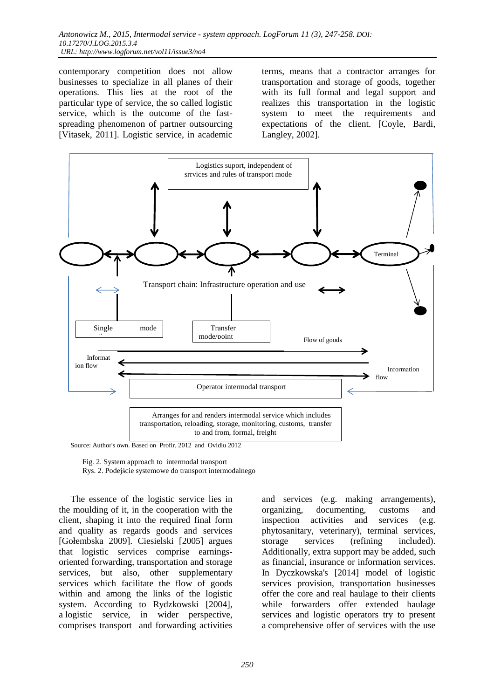contemporary competition does not allow businesses to specialize in all planes of their operations. This lies at the root of the particular type of service, the so called logistic service, which is the outcome of the fastspreading phenomenon of partner outsourcing [Vitasek, 2011]. Logistic service, in academic

terms, means that a contractor arranges for transportation and storage of goods, together with its full formal and legal support and realizes this transportation in the logistic system to meet the requirements and expectations of the client. [Coyle, Bardi, Langley, 2002].



Source: Author's own. Based on Profir, 2012 and Ovidiu 2012

Fig. 2. System approach to intermodal transport

Rys. 2. Podejście systemowe do transport intermodalnego

The essence of the logistic service lies in the moulding of it, in the cooperation with the client, shaping it into the required final form and quality as regards goods and services [Gołembska 2009]. Ciesielski [2005] argues that logistic services comprise earningsoriented forwarding, transportation and storage services, but also, other supplementary services which facilitate the flow of goods within and among the links of the logistic system. According to Rydzkowski [2004], a logistic service, in wider perspective, comprises transport and forwarding activities

and services (e.g. making arrangements), organizing, documenting, customs and inspection activities and services (e.g. phytosanitary, veterinary), terminal services, storage services (refining included). Additionally, extra support may be added, such as financial, insurance or information services. In Dyczkowska's [2014] model of logistic services provision, transportation businesses offer the core and real haulage to their clients while forwarders offer extended haulage services and logistic operators try to present a comprehensive offer of services with the use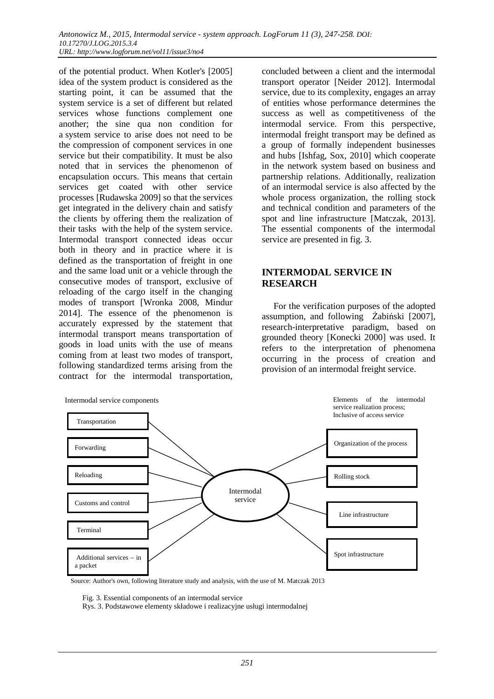of the potential product. When Kotler's [2005] idea of the system product is considered as the starting point, it can be assumed that the system service is a set of different but related services whose functions complement one another; the sine qua non condition for a system service to arise does not need to be the compression of component services in one service but their compatibility. It must be also noted that in services the phenomenon of encapsulation occurs. This means that certain services get coated with other service processes [Rudawska 2009] so that the services get integrated in the delivery chain and satisfy the clients by offering them the realization of their tasks with the help of the system service. Intermodal transport connected ideas occur both in theory and in practice where it is defined as the transportation of freight in one and the same load unit or a vehicle through the consecutive modes of transport, exclusive of reloading of the cargo itself in the changing modes of transport [Wronka 2008, Mindur 2014]. The essence of the phenomenon is accurately expressed by the statement that intermodal transport means transportation of goods in load units with the use of means coming from at least two modes of transport, following standardized terms arising from the contract for the intermodal transportation,

concluded between a client and the intermodal transport operator [Neider 2012]. Intermodal service, due to its complexity, engages an array of entities whose performance determines the success as well as competitiveness of the intermodal service. From this perspective, intermodal freight transport may be defined as a group of formally independent businesses and hubs [Ishfag, Sox, 2010] which cooperate in the network system based on business and partnership relations. Additionally, realization of an intermodal service is also affected by the whole process organization, the rolling stock and technical condition and parameters of the spot and line infrastructure [Matczak, 2013]. The essential components of the intermodal service are presented in fig. 3.

#### **INTERMODAL SERVICE IN RESEARCH**

For the verification purposes of the adopted assumption, and following Żabiński [2007], research-interpretative paradigm, based on grounded theory [Konecki 2000] was used. It refers to the interpretation of phenomena occurring in the process of creation and provision of an intermodal freight service.



Source: Author's own, following literature study and analysis, with the use of M. Matczak 2013

Fig. 3. Essential components of an intermodal service

Rys. 3. Podstawowe elementy składowe i realizacyjne usługi intermodalnej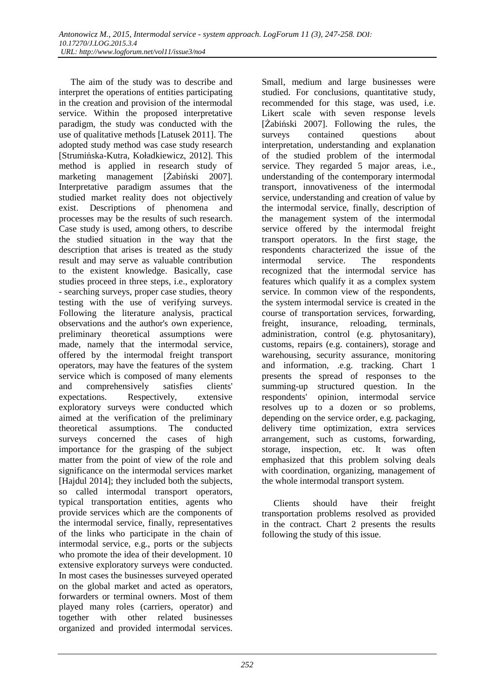The aim of the study was to describe and interpret the operations of entities participating in the creation and provision of the intermodal service. Within the proposed interpretative paradigm, the study was conducted with the use of qualitative methods [Latusek 2011]. The adopted study method was case study research [Strumińska-Kutra, Koładkiewicz, 2012]. This method is applied in research study of marketing management [Żabiński 2007]. Interpretative paradigm assumes that the studied market reality does not objectively exist. Descriptions of phenomena and processes may be the results of such research. Case study is used, among others, to describe the studied situation in the way that the description that arises is treated as the study result and may serve as valuable contribution to the existent knowledge. Basically, case studies proceed in three steps, i.e., exploratory - searching surveys, proper case studies, theory testing with the use of verifying surveys. Following the literature analysis, practical observations and the author's own experience, preliminary theoretical assumptions were made, namely that the intermodal service, offered by the intermodal freight transport operators, may have the features of the system service which is composed of many elements and comprehensively satisfies clients'<br>expectations. Respectively, extensive expectations. Respectively, exploratory surveys were conducted which aimed at the verification of the preliminary theoretical assumptions. The conducted surveys concerned the cases of high importance for the grasping of the subject matter from the point of view of the role and significance on the intermodal services market [Hajdul 2014]; they included both the subjects, so called intermodal transport operators, typical transportation entities, agents who provide services which are the components of the intermodal service, finally, representatives of the links who participate in the chain of intermodal service, e.g., ports or the subjects who promote the idea of their development. 10 extensive exploratory surveys were conducted. In most cases the businesses surveyed operated on the global market and acted as operators, forwarders or terminal owners. Most of them played many roles (carriers, operator) and together with other related businesses organized and provided intermodal services.

Small, medium and large businesses were studied. For conclusions, quantitative study, recommended for this stage, was used, i.e. Likert scale with seven response levels [Żabiński 2007]. Following the rules, the surveys contained questions about interpretation, understanding and explanation of the studied problem of the intermodal service. They regarded 5 major areas, i.e., understanding of the contemporary intermodal transport, innovativeness of the intermodal service, understanding and creation of value by the intermodal service, finally, description of the management system of the intermodal service offered by the intermodal freight transport operators. In the first stage, the respondents characterized the issue of the intermodal service. The respondents recognized that the intermodal service has features which qualify it as a complex system service. In common view of the respondents, the system intermodal service is created in the course of transportation services, forwarding, freight, insurance, reloading, terminals, administration, control (e.g. phytosanitary), customs, repairs (e.g. containers), storage and warehousing, security assurance, monitoring and information, .e.g. tracking. Chart 1 presents the spread of responses to the summing-up structured question. In the respondents' opinion, intermodal service resolves up to a dozen or so problems, depending on the service order, e.g. packaging, delivery time optimization, extra services arrangement, such as customs, forwarding, storage, inspection, etc. It was often emphasized that this problem solving deals with coordination, organizing, management of the whole intermodal transport system.

Clients should have their freight transportation problems resolved as provided in the contract. Chart 2 presents the results following the study of this issue.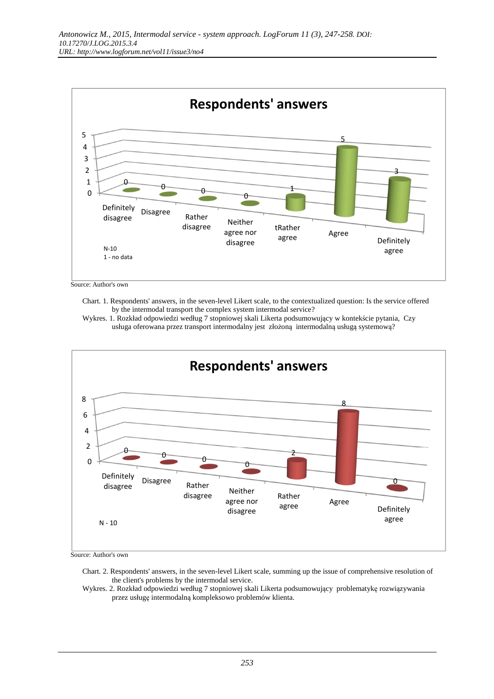

Source: Author's own

 Chart. 1. Respondents' answers, in the seven-level Likert scale, to the contextualized question: Is the service offered by the intermodal transport the complex system intermodal service?





Source: Author's own

 Chart. 2. Respondents' answers, in the seven-level Likert scale, summing up the issue of comprehensive resolution of the client's problems by the intermodal service.

 Wykres. 2. Rozkład odpowiedzi według 7 stopniowej skali Likerta podsumowujący problematykę rozwiązywania przez usługę intermodalną kompleksowo problemów klienta.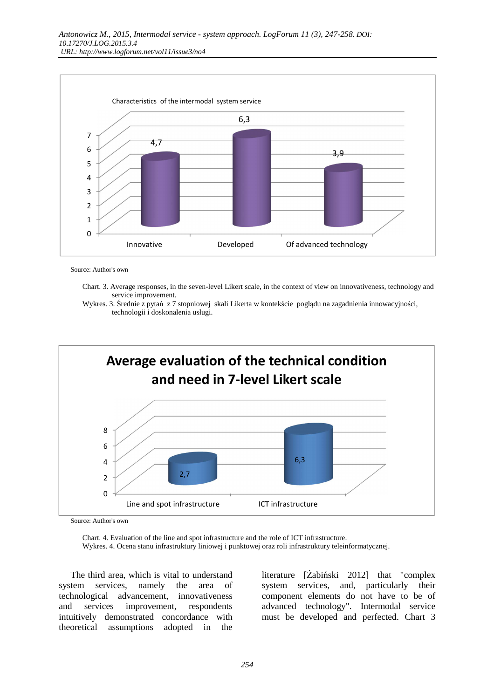

Source: Author's own

 Chart. 3. Average responses, in the seven-level Likert scale, in the context of view on innovativeness, technology and service improvement.





Source: Author's own

 Chart. 4. Evaluation of the line and spot infrastructure and the role of ICT infrastructure. Wykres. 4. Ocena stanu infrastruktury liniowej i punktowej oraz roli infrastruktury teleinformatycznej.

The third area, which is vital to understand system services, namely the area of technological advancement, innovativeness and services improvement, respondents intuitively demonstrated concordance with theoretical assumptions adopted in the

literature [Żabiński 2012] that "complex system services, and, particularly their component elements do not have to be of advanced technology". Intermodal service must be developed and perfected. Chart 3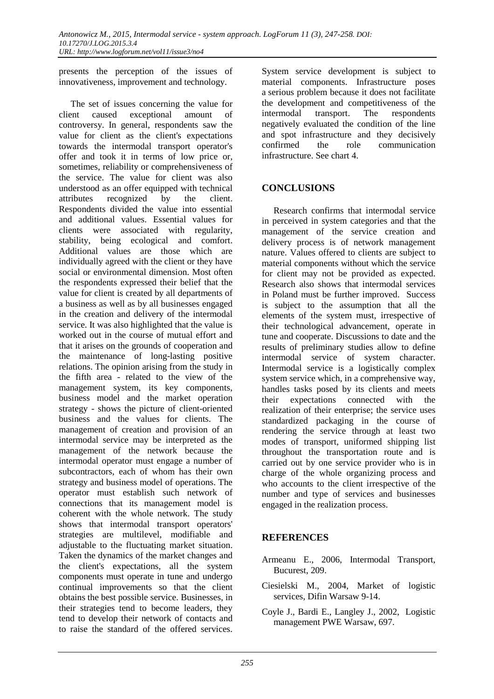presents the perception of the issues of innovativeness, improvement and technology.

The set of issues concerning the value for client caused exceptional amount of controversy. In general, respondents saw the value for client as the client's expectations towards the intermodal transport operator's offer and took it in terms of low price or, sometimes, reliability or comprehensiveness of the service. The value for client was also understood as an offer equipped with technical attributes recognized by the client. Respondents divided the value into essential and additional values. Essential values for clients were associated with regularity, stability, being ecological and comfort. Additional values are those which are individually agreed with the client or they have social or environmental dimension. Most often the respondents expressed their belief that the value for client is created by all departments of a business as well as by all businesses engaged in the creation and delivery of the intermodal service. It was also highlighted that the value is worked out in the course of mutual effort and that it arises on the grounds of cooperation and the maintenance of long-lasting positive relations. The opinion arising from the study in the fifth area - related to the view of the management system, its key components, business model and the market operation strategy - shows the picture of client-oriented business and the values for clients. The management of creation and provision of an intermodal service may be interpreted as the management of the network because the intermodal operator must engage a number of subcontractors, each of whom has their own strategy and business model of operations. The operator must establish such network of connections that its management model is coherent with the whole network. The study shows that intermodal transport operators' strategies are multilevel, modifiable and adjustable to the fluctuating market situation. Taken the dynamics of the market changes and the client's expectations, all the system components must operate in tune and undergo continual improvements so that the client obtains the best possible service. Businesses, in their strategies tend to become leaders, they tend to develop their network of contacts and to raise the standard of the offered services.

System service development is subject to material components. Infrastructure poses a serious problem because it does not facilitate the development and competitiveness of the intermodal transport. The respondents negatively evaluated the condition of the line and spot infrastructure and they decisively confirmed the role communication infrastructure. See chart 4.

#### **CONCLUSIONS**

Research confirms that intermodal service in perceived in system categories and that the management of the service creation and delivery process is of network management nature. Values offered to clients are subject to material components without which the service for client may not be provided as expected. Research also shows that intermodal services in Poland must be further improved. Success is subject to the assumption that all the elements of the system must, irrespective of their technological advancement, operate in tune and cooperate. Discussions to date and the results of preliminary studies allow to define intermodal service of system character. Intermodal service is a logistically complex system service which, in a comprehensive way, handles tasks posed by its clients and meets their expectations connected with the realization of their enterprise; the service uses standardized packaging in the course of rendering the service through at least two modes of transport, uniformed shipping list throughout the transportation route and is carried out by one service provider who is in charge of the whole organizing process and who accounts to the client irrespective of the number and type of services and businesses engaged in the realization process.

#### **REFERENCES**

- Armeanu E., 2006, Intermodal Transport, Bucurest, 209.
- Ciesielski M., 2004, Market of logistic services, Difin Warsaw 9-14.
- Coyle J., Bardi E., Langley J., 2002, Logistic management PWE Warsaw, 697.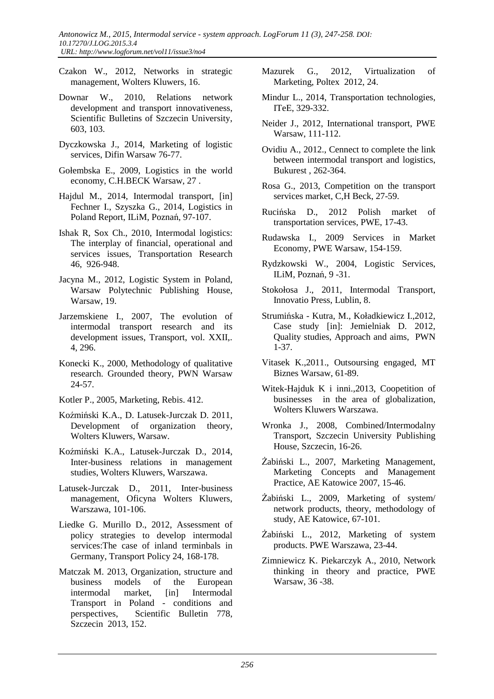- Czakon W., 2012, Networks in strategic management, Wolters Kluwers, 16.
- Downar W., 2010, Relations network development and transport innovativeness, Scientific Bulletins of Szczecin University, 603, 103.
- Dyczkowska J., 2014, Marketing of logistic services, Difin Warsaw 76-77.
- Gołembska E., 2009, Logistics in the world economy, C.H.BECK Warsaw, 27 .
- Hajdul M., 2014, Intermodal transport, [in] Fechner I., Szyszka G., 2014, Logistics in Poland Report, ILiM, Poznań, 97-107.
- Ishak R, Sox Ch., 2010, Intermodal logistics: The interplay of financial, operational and services issues, Transportation Research 46, 926-948.
- Jacyna M., 2012, Logistic System in Poland, Warsaw Polytechnic Publishing House, Warsaw, 19.
- Jarzemskiene I., 2007, The evolution of intermodal transport research and its development issues, Transport, vol. XXII,. 4, 296.
- Konecki K., 2000, Methodology of qualitative research. Grounded theory, PWN Warsaw 24-57.
- Kotler P., 2005, Marketing, Rebis. 412.
- Koźmiński K.A., D. Latusek-Jurczak D. 2011, Development of organization theory, Wolters Kluwers, Warsaw.
- Koźmiński K.A., Latusek-Jurczak D., 2014, Inter-business relations in management studies, Wolters Kluwers, Warszawa.
- Latusek-Jurczak D., 2011, Inter-business management, Oficyna Wolters Kluwers, Warszawa, 101-106.
- Liedke G. Murillo D., 2012, Assessment of policy strategies to develop intermodal services:The case of inland terminbals in Germany, Transport Policy 24, 168-178.
- Matczak M. 2013, Organization, structure and business models of the European intermodal market, [in] Intermodal Transport in Poland - conditions and perspectives, Scientific Bulletin 778, Szczecin 2013, 152.
- Mazurek G., 2012, Virtualization of Marketing, Poltex 2012, 24.
- Mindur L., 2014, Transportation technologies, ITeE, 329-332.
- Neider J., 2012, International transport, PWE Warsaw, 111-112.
- Ovidiu A., 2012., Cennect to complete the link between intermodal transport and logistics, Bukurest , 262-364.
- Rosa G., 2013, Competition on the transport services market, C,H Beck, 27-59.
- Rucińska D., 2012 Polish market of transportation services, PWE, 17-43.
- Rudawska I., 2009 Services in Market Economy, PWE Warsaw, 154-159.
- Rydzkowski W., 2004, Logistic Services, ILiM, Poznań, 9 -31.
- Stokołosa J., 2011, Intermodal Transport, Innovatio Press, Lublin, 8.
- Strumińska Kutra, M., Koładkiewicz I.,2012, Case study [in]: Jemielniak D. 2012, Quality studies, Approach and aims, PWN 1-37.
- Vitasek K.,2011., Outsoursing engaged, MT Biznes Warsaw, 61-89.
- Witek-Hajduk K i inni.,2013, Coopetition of businesses in the area of globalization, Wolters Kluwers Warszawa.
- Wronka J., 2008, Combined/Intermodalny Transport, Szczecin University Publishing House, Szczecin, 16-26.
- Żabiński L., 2007, Marketing Management, Marketing Concepts and Management Practice, AE Katowice 2007, 15-46.
- Żabiński L., 2009, Marketing of system/ network products, theory, methodology of study, AE Katowice, 67-101.
- Żabiński L., 2012, Marketing of system products. PWE Warszawa, 23-44.
- Zimniewicz K. Piekarczyk A., 2010, Network thinking in theory and practice, PWE Warsaw, 36 -38.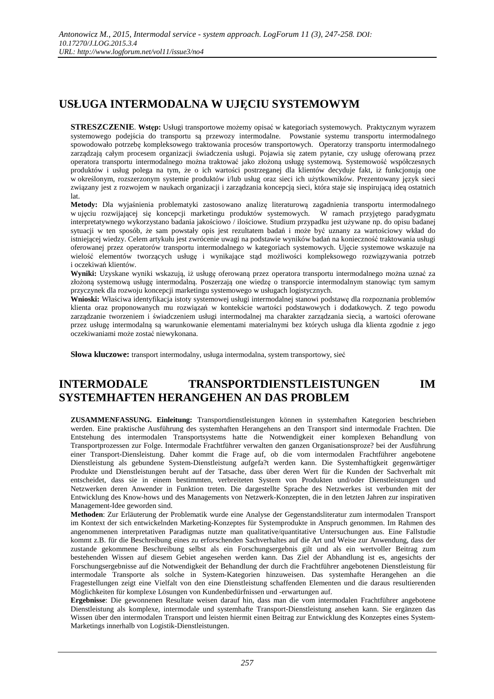## **USŁUGA INTERMODALNA W UJĘCIU SYSTEMOWYM**

**STRESZCZENIE**. **Wstęp:** Usługi transportowe możemy opisać w kategoriach systemowych. Praktycznym wyrazem systemowego podejścia do transportu są przewozy intermodalne. Powstanie systemu transportu intermodalnego spowodowało potrzebę kompleksowego traktowania procesów transportowych. Operatorzy transportu intermodalnego zarządzają całym procesem organizacji świadczenia usługi. Pojawia się zatem pytanie, czy usługę oferowaną przez operatora transportu intermodalnego można traktować jako złożoną usługę systemową. Systemowość współczesnych produktów i usług polega na tym, że o ich wartości postrzeganej dla klientów decyduje fakt, iż funkcjonują one w określonym, rozszerzonym systemie produktów i/lub usług oraz sieci ich użytkowników. Prezentowany język sieci związany jest z rozwojem w naukach organizacji i zarządzania koncepcją sieci, która staje się inspirującą ideą ostatnich lat.

**Metody:** Dla wyjaśnienia problematyki zastosowano analizę literaturową zagadnienia transportu intermodalnego w ujęciu rozwijającej się koncepcji marketingu produktów systemowych. W ramach przyjętego paradygmatu interpretatywnego wykorzystano badania jakościowo / ilościowe. Studium przypadku jest używane np. do opisu badanej sytuacji w ten sposób, że sam powstały opis jest rezultatem badań i może być uznany za wartościowy wkład do istniejącej wiedzy. Celem artykułu jest zwrócenie uwagi na podstawie wyników badań na konieczność traktowania usługi oferowanej przez operatorów transportu intermodalnego w kategoriach systemowych. Ujęcie systemowe wskazuje na wielość elementów tworzących usługę i wynikające stąd możliwości kompleksowego rozwiązywania potrzeb i oczekiwań klientów.

**Wyniki:** Uzyskane wyniki wskazują, iż usługę oferowaną przez operatora transportu intermodalnego można uznać za złożoną systemową usługę intermodalną. Poszerzają one wiedzę o transporcie intermodalnym stanowiąc tym samym przyczynek dla rozwoju koncepcji marketingu systemowego w usługach logistycznych.

**Wnioski:** Właściwa identyfikacja istoty systemowej usługi intermodalnej stanowi podstawę dla rozpoznania problemów klienta oraz proponowanych mu rozwiązań w kontekście wartości podstawowych i dodatkowych. Z tego powodu zarządzanie tworzeniem i świadczeniem usługi intermodalnej ma charakter zarządzania siecią, a wartości oferowane przez usługę intermodalną są warunkowanie elementami materialnymi bez których usługa dla klienta zgodnie z jego oczekiwaniami może zostać niewykonana.

**Słowa kluczowe:** transport intermodalny, usługa intermodalna, system transportowy, sieć

### **INTERMODALE TRANSPORTDIENSTLEISTUNGEN IM SYSTEMHAFTEN HERANGEHEN AN DAS PROBLEM**

**ZUSAMMENFASSUNG. Einleitung:** Transportdienstleistungen können in systemhaften Kategorien beschrieben werden. Eine praktische Ausführung des systemhaften Herangehens an den Transport sind intermodale Frachten. Die Entstehung des intermodalen Transportsystems hatte die Notwendigkeit einer komplexen Behandlung von Transportprozessen zur Folge. Intermodale Frachtführer verwalten den ganzen Organisationsproze? bei der Ausführung einer Transport-Diensleistung. Daher kommt die Frage auf, ob die vom intermodalen Frachtführer angebotene Dienstleistung als gebundene System-Dienstleistung aufgefa?t werden kann. Die Systemhaftigkeit gegenwärtiger Produkte und Dienstleistungen beruht auf der Tatsache, dass über deren Wert für die Kunden der Sachverhalt mit entscheidet, dass sie in einem bestimmten, verbreiteten System von Produkten und/oder Dienstleistungen und Netzwerken deren Anwender in Funktion treten. Die dargestellte Sprache des Netzwerkes ist verbunden mit der Entwicklung des Know-hows und des Managements von Netzwerk-Konzepten, die in den letzten Jahren zur inspirativen Management-Idee geworden sind.

**Methoden**: Zur Erläuterung der Problematik wurde eine Analyse der Gegenstandsliteratur zum intermodalen Transport im Kontext der sich entwickelnden Marketing-Konzeptes für Systemprodukte in Anspruch genommen. Im Rahmen des angenommenen interpretativen Paradigmas nutzte man qualitative/quantitative Untersuchungen aus. Eine Fallstudie kommt z.B. für die Beschreibung eines zu erforschenden Sachverhaltes auf die Art und Weise zur Anwendung, dass der zustande gekommene Beschreibung selbst als ein Forschungsergebnis gilt und als ein wertvoller Beitrag zum bestehenden Wissen auf diesem Gebiet angesehen werden kann. Das Ziel der Abhandlung ist es, angesichts der Forschungsergebnisse auf die Notwendigkeit der Behandlung der durch die Frachtführer angebotenen Dienstleistung für intermodale Transporte als solche in System-Kategorien hinzuweisen. Das systemhafte Herangehen an die Fragestellungen zeigt eine Vielfalt von den eine Dienstleistung schaffenden Elementen und die daraus resultierenden Möglichkeiten für komplexe Lösungen von Kundenbedürfnissen und -erwartungen auf.

**Ergebnisse**: Die gewonnenen Resultate weisen darauf hin, dass man die vom intermodalen Frachtführer angebotene Dienstleistung als komplexe, intermodale und systemhafte Transport-Dienstleistung ansehen kann. Sie ergänzen das Wissen über den intermodalen Transport und leisten hiermit einen Beitrag zur Entwicklung des Konzeptes eines System-Marketings innerhalb von Logistik-Dienstleistungen.